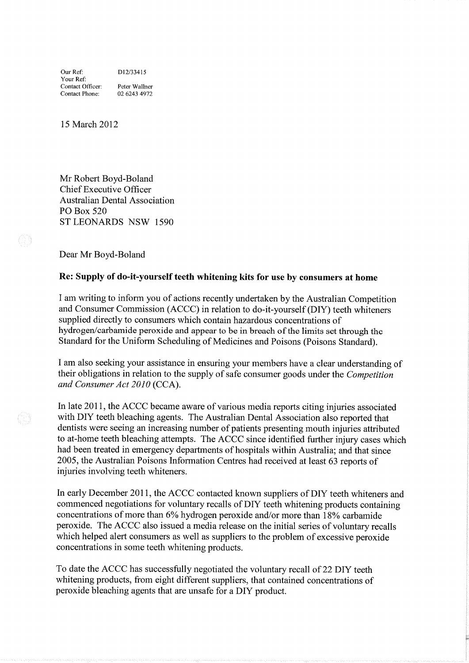15 March 2012

Mr Robert Boyd-Boland Chief Executive Officer Australian Dental Association PO Box 520 ST LEONARDS NSW 1590

Dear Mr Boyd-Boland

## Re: Supply of do-it-yourself teeth whitening kits for use by consumers at home

I am writing to inform you of actions recently undertaken by the Australian Competition and Consumer Commission (ACCC) in relation to do-it-yourself (DIY) teeth whiteners supplied directly to consumers which contain hazardous concentrations of hydrogen/carbamide peroxide and appear to be in breach of the limits set through the Standard for the Uniform Scheduling of Medicines and Poisons (Poisons Standard).

<sup>I</sup>am also seeking your assistance in ensuring your members have a clear understanding of their obligations in relation to the supply of safe consumer goods under the *Competition* and Consumer Act 2010 (CCA).

In late 2011, the ACCC became aware of various media reports citing injuries associated with DIY teeth bleaching agents. The Australian Dental Association also reported that dentists were seeing an increasing number of patients presenting mouth injuries attributed to at-home teeth bleaching attempts. The ACCC since identified further injury cases which had been treated in emergency departments of hospitals within Australia; and that since 2005, the Australian Poisons Information Centres had received at least 63 reports of injuries involving teeth whiteners.

In early December 201I, the ACCC contacted known suppliers of DIY teeth whiteners and commenced negotiations for voluntary recalls of DIY teeth whitening products containing concentrations of more than  $6\%$  hydrogen peroxide and/or more than  $18\%$  carbamide peroxide. The ACCC also issued a media release on the initial series of voluntary recalls which helped alert consumers as well as suppliers to the problem of excessive peroxide concentrations in some teeth whitening products.

To date the ACCC has successfully negotiated the voluntary recall of 22 DIY teeth whitening products, from eight different suppliers, that contained concentrations of peroxide bleaching agents that are unsafe for a DIY product.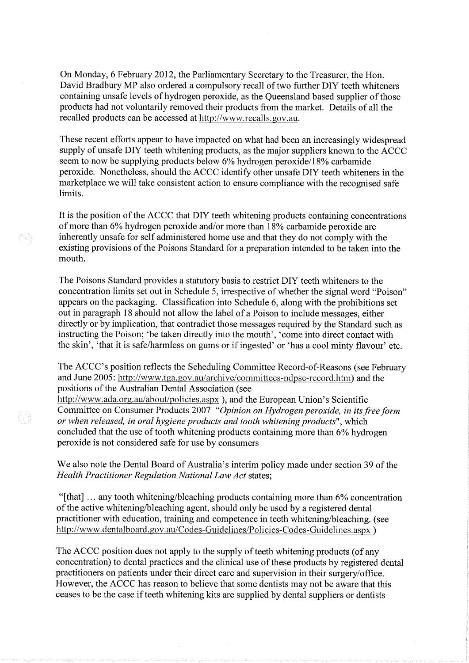On Monday, 6 February 2012, the Parliamentary Secretary to the Treasurer, the Hon. David Bradbury MP also ordered a compulsory recall of two further DIY teeth whiteners containing unsafe levels of hydrogen peroxide, as the Queensland based supplier of those products had not voluntarily removed their products from the market. Details of all the recalled products can be accessed at http://www.recalls.gov.au.

These recent efforts appear to have impacted on what had been an increasingly widespread supply of unsafe DIY teeth whitening products, as the major suppliers known to the ACCC seem to now be supplying products below 6% hydrogen peroxide/18% carbamide peroxide. Nonetheless, should the ACCC identify other unsafe DIY teeth whiteners in the marketplace we will take consistent action to ensure compliance with the recognised safe limits.

It is the position of the ACCC that DIY teeth whitening products containing concentrations of more than 6% hydrogen peroxide and/or more than 18% carbamide peroxide are inherently unsafe for self administered home use and that they do not comply with the existing provisions of the Poisons Standard for a preparation intended to be taken into the mouth.

The Poisons Standard provides a statutory basis to restrict DIY teeth whiteners to the concentration limits set out in Schedule 5, irrespective of whether the signal word "Poison" appears on the packaging. Classification into Schedule 6, along with the prohibitions set out in paragraph 18 should not allow the label of a Poison to include messages, either directly or by implication, that contradict those messages required by the Standard such as instructing the Poison; 'be taken directly into the mouth', 'come into direct contact with the skin', 'that it is safe/harmless on gums or if ingested' or 'has a cool minty flavour' etc.

The ACCC's position reflects the Scheduling Committee Record-of-Reasons (see February and June 2005: http://www.tga.gov.au/archive/committees-ndpsc-record.htm) and the positions of the Australian Dental Association (see

http://www.ada.org.au/about/policies.aspx), and the European Union's Scientific Committee on Consumer Products 2007 "Opinion on Hydrogen peroxide, in its free form or when released, in oral hygiene products and tooth whitening products", which concluded that the use of tooth whitening products containing more than 6% hydrogen peroxide is not considered safe for use by consumers

-68

We also note the Dental Board of Australia's interim policy made under section 39 of the Health Practitioner Regulation National Law Act states;

"[that] ... any tooth whitening/bleaching products containing more than 6% concentration of the active whitening/bleaching agent, should only be used by a registered dental practitioner with education, training and competence in teeth whitening/bleaching. (see http://www.dentalboard.gov.au/Codes-Guidelines/Policies-Codes-Guidelines.aspx)

The ACCC position does not apply to the supply of teeth whitening products (of any concentration) to dental practices and the clinical use of these products by registered dental practitioners on patients under their direct care and supervision in their surgery/office. However, the ACCC has reason to believe that some dentists may not be aware that this ceases to be the case if teeth whitening kits are supplied by dental suppliers or dentists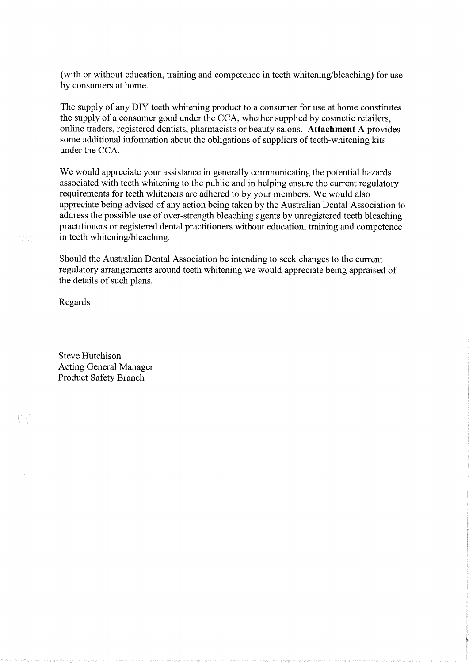(with or without education, training and competence in teeth whitening/bleaching) for use by consumers at home.

The supply of any DIY teeth whitening product to a consurner for use at home constitutes the supply of a consumer good under the CCA, whether supplied by cosmetic retailers, online traders, registered dentists, pharmacists or beauty salons. Attachment A provides some additional information about the obligations of suppliers of teeth-whitening kits under the CCA.

We would appreciate your assistance in generally communicating the potential hazards associated with teeth whitening to the public and in helping ensure the current regulatory requirements for teeth whiteners are adhered to by your members. We would also appreciate being advised of any action being taken by the Australian Dental Association to address the possible use of over-strength bleaching agents by unregistered teeth bleaching practitioners or registered dental practitioners without education, training and competence in teeth whitening/bleaching.

Should the Australian Dental Association be intending to seek changes to the current regulatory arrangements around teeth whitening we would appreciate being appraised of the details of such plans.

Regards

Steve Hutchison Acting General Manager Product Safety Branch